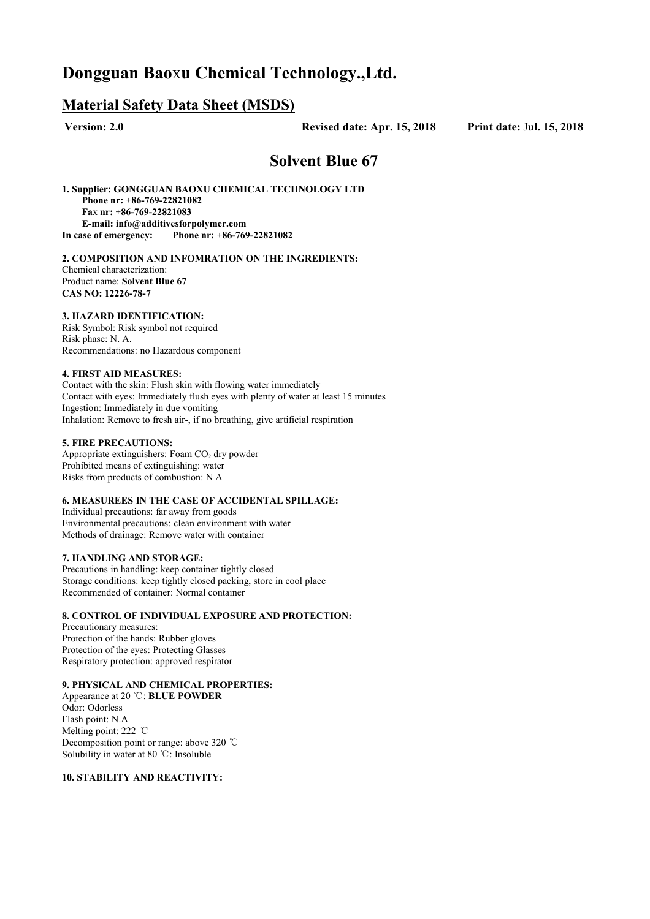# **Dongguan Bao**x**u Chemical Technology.,Ltd.**

## **Material Safety Data Sheet (MSDS)**

**Version: 2.0 Revised date: Apr. 15, 2018 Print date:** J**ul. 15, 2018** 

## **Solvent Blue 67**

**1. Supplier: GONGGUAN BAOXU CHEMICAL TECHNOLOGY LTD Phone nr:** +**86-769-22821082 Fa**x **nr:** +**86-769-22821083 E-mail: info**@**additivesforpolymer.com In case of emergency: Phone nr:** +**86-769-22821082**

**2. COMPOSITION AND INFOMRATION ON THE INGREDIENTS:** Chemical characterization: Product name: **Solvent Blue 67 CAS NO: 12226-78-7**

#### **3. HAZARD IDENTIFICATION:**

Risk Symbol: Risk symbol not required Risk phase: N. A. Recommendations: no Hazardous component

#### **4. FIRST AID MEASURES:**

Contact with the skin: Flush skin with flowing water immediately Contact with eyes: Immediately flush eyes with plenty of water at least 15 minutes Ingestion: Immediately in due vomiting Inhalation: Remove to fresh air-, if no breathing, give artificial respiration

#### **5. FIRE PRECAUTIONS:**

Appropriate extinguishers: Foam  $CO<sub>2</sub>$  dry powder Prohibited means of extinguishing: water Risks from products of combustion: N A

## **6. MEASUREES IN THE CASE OF ACCIDENTAL SPILLAGE:**

Individual precautions: far away from goods Environmental precautions: clean environment with water Methods of drainage: Remove water with container

#### **7. HANDLING AND STORAGE:**

Precautions in handling: keep container tightly closed Storage conditions: keep tightly closed packing, store in cool place Recommended of container: Normal container

#### **8. CONTROL OF INDIVIDUAL EXPOSURE AND PROTECTION:**

Precautionary measures: Protection of the hands: Rubber gloves Protection of the eyes: Protecting Glasses Respiratory protection: approved respirator

### **9. PHYSICAL AND CHEMICAL PROPERTIES:**

Appearance at 20 ℃: **BLUE POWDER** Odor: Odorless Flash point: N.A Melting point: 222 ℃ Decomposition point or range: above 320 ℃ Solubility in water at 80 ℃: Insoluble

#### **10. STABILITY AND REACTIVITY:**